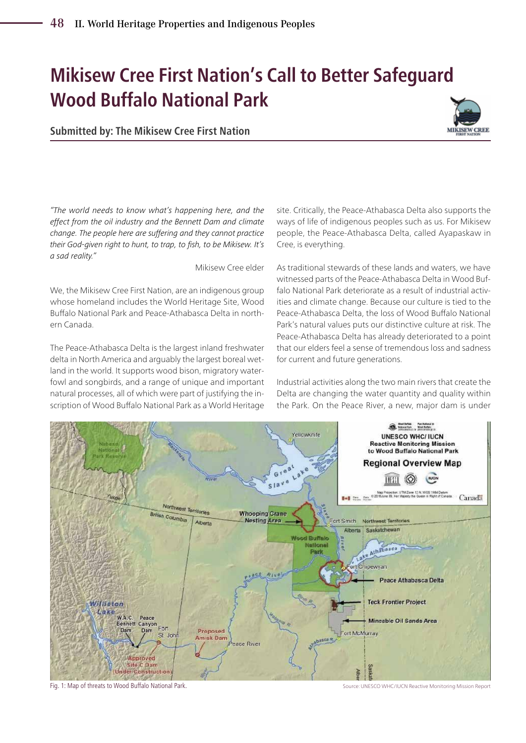# **Mikisew Cree First Nation's Call to Better Safeguard Wood Buffalo National Park**

**Submitted by: The Mikisew Cree First Nation**



*"The world needs to know what's happening here, and the effect from the oil industry and the Bennett Dam and climate change. The people here are suffering and they cannot practice their God-given right to hunt, to trap, to fish, to be Mikisew. It's a sad reality."* 

Mikisew Cree elder

We, the Mikisew Cree First Nation, are an indigenous group whose homeland includes the World Heritage Site, Wood Buffalo National Park and Peace-Athabasca Delta in northern Canada.

The Peace-Athabasca Delta is the largest inland freshwater delta in North America and arguably the largest boreal wetland in the world. It supports wood bison, migratory waterfowl and songbirds, and a range of unique and important natural processes, all of which were part of justifying the inscription of Wood Buffalo National Park as a World Heritage

site. Critically, the Peace-Athabasca Delta also supports the ways of life of indigenous peoples such as us. For Mikisew people, the Peace-Athabasca Delta, called Ayapaskaw in Cree, is everything.

As traditional stewards of these lands and waters, we have witnessed parts of the Peace-Athabasca Delta in Wood Buffalo National Park deteriorate as a result of industrial activities and climate change. Because our culture is tied to the Peace-Athabasca Delta, the loss of Wood Buffalo National Park's natural values puts our distinctive culture at risk. The Peace-Athabasca Delta has already deteriorated to a point that our elders feel a sense of tremendous loss and sadness for current and future generations.

Industrial activities along the two main rivers that create the Delta are changing the water quantity and quality within the Park. On the Peace River, a new, major dam is under



Fig. 1: Map of threats to Wood Buffalo National Park. Source: UNESCO WHC/IUCN Reactive Monitoring Mission Report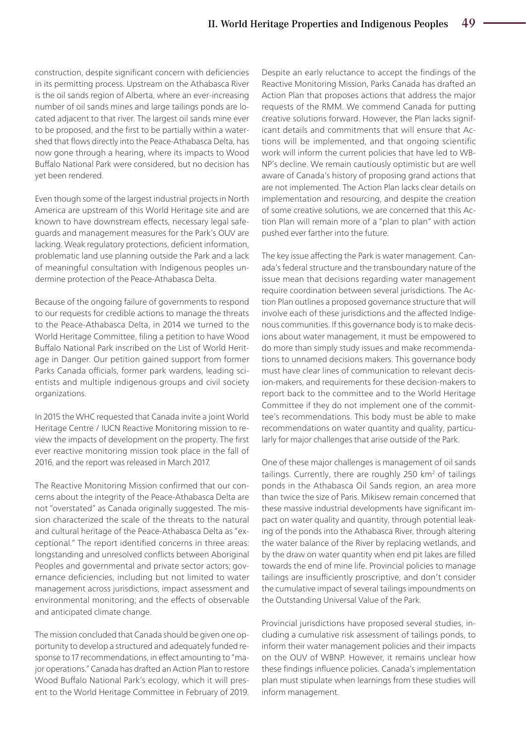construction, despite significant concern with deficiencies in its permitting process. Upstream on the Athabasca River is the oil sands region of Alberta, where an ever-increasing number of oil sands mines and large tailings ponds are located adjacent to that river. The largest oil sands mine ever to be proposed, and the first to be partially within a watershed that flows directly into the Peace-Athabasca Delta, has now gone through a hearing, where its impacts to Wood Buffalo National Park were considered, but no decision has yet been rendered.

Even though some of the largest industrial projects in North America are upstream of this World Heritage site and are known to have downstream effects, necessary legal safeguards and management measures for the Park's OUV are lacking. Weak regulatory protections, deficient information, problematic land use planning outside the Park and a lack of meaningful consultation with Indigenous peoples undermine protection of the Peace-Athabasca Delta.

Because of the ongoing failure of governments to respond to our requests for credible actions to manage the threats to the Peace-Athabasca Delta, in 2014 we turned to the World Heritage Committee, filing a petition to have Wood Buffalo National Park inscribed on the List of World Heritage in Danger. Our petition gained support from former Parks Canada officials, former park wardens, leading scientists and multiple indigenous groups and civil society organizations.

In 2015 the WHC requested that Canada invite a joint World Heritage Centre / IUCN Reactive Monitoring mission to review the impacts of development on the property. The first ever reactive monitoring mission took place in the fall of 2016, and the report was released in March 2017.

The Reactive Monitoring Mission confirmed that our concerns about the integrity of the Peace-Athabasca Delta are not "overstated" as Canada originally suggested. The mission characterized the scale of the threats to the natural and cultural heritage of the Peace-Athabasca Delta as "exceptional." The report identified concerns in three areas: longstanding and unresolved conflicts between Aboriginal Peoples and governmental and private sector actors; governance deficiencies, including but not limited to water management across jurisdictions, impact assessment and environmental monitoring; and the effects of observable and anticipated climate change.

The mission concluded that Canada should be given one opportunity to develop a structured and adequately funded response to 17 recommendations, in effect amounting to "major operations." Canada has drafted an Action Plan to restore Wood Buffalo National Park's ecology, which it will present to the World Heritage Committee in February of 2019.

Despite an early reluctance to accept the findings of the Reactive Monitoring Mission, Parks Canada has drafted an Action Plan that proposes actions that address the major requests of the RMM. We commend Canada for putting creative solutions forward. However, the Plan lacks significant details and commitments that will ensure that Actions will be implemented, and that ongoing scientific work will inform the current policies that have led to WB-NP's decline. We remain cautiously optimistic but are well aware of Canada's history of proposing grand actions that are not implemented. The Action Plan lacks clear details on implementation and resourcing, and despite the creation of some creative solutions, we are concerned that this Action Plan will remain more of a "plan to plan" with action pushed ever farther into the future.

The key issue affecting the Park is water management. Canada's federal structure and the transboundary nature of the issue mean that decisions regarding water management require coordination between several jurisdictions. The Action Plan outlines a proposed governance structure that will involve each of these jurisdictions and the affected Indigenous communities. If this governance body is to make decisions about water management, it must be empowered to do more than simply study issues and make recommendations to unnamed decisions makers. This governance body must have clear lines of communication to relevant decision-makers, and requirements for these decision-makers to report back to the committee and to the World Heritage Committee if they do not implement one of the committee's recommendations. This body must be able to make recommendations on water quantity and quality, particularly for major challenges that arise outside of the Park.

One of these major challenges is management of oil sands tailings. Currently, there are roughly 250 km<sup>2</sup> of tailings ponds in the Athabasca Oil Sands region, an area more than twice the size of Paris. Mikisew remain concerned that these massive industrial developments have significant impact on water quality and quantity, through potential leaking of the ponds into the Athabasca River, through altering the water balance of the River by replacing wetlands, and by the draw on water quantity when end pit lakes are filled towards the end of mine life. Provincial policies to manage tailings are insufficiently proscriptive, and don't consider the cumulative impact of several tailings impoundments on the Outstanding Universal Value of the Park.

Provincial jurisdictions have proposed several studies, including a cumulative risk assessment of tailings ponds, to inform their water management policies and their impacts on the OUV of WBNP. However, it remains unclear how these findings influence policies. Canada's implementation plan must stipulate when learnings from these studies will inform management.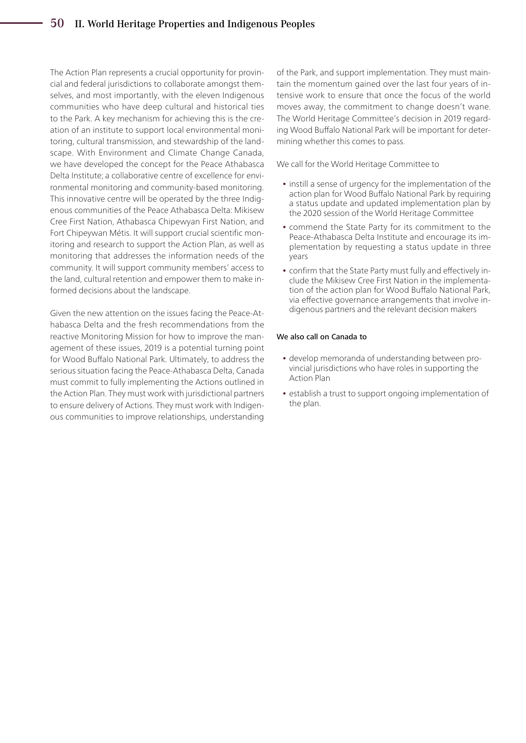### 50 II. World Heritage Properties and Indigenous Peoples

The Action Plan represents a crucial opportunity for provincial and federal jurisdictions to collaborate amongst themselves, and most importantly, with the eleven Indigenous communities who have deep cultural and historical ties to the Park. A key mechanism for achieving this is the creation of an institute to support local environmental monitoring, cultural transmission, and stewardship of the landscape. With Environment and Climate Change Canada, we have developed the concept for the Peace Athabasca Delta Institute; a collaborative centre of excellence for environmental monitoring and community-based monitoring. This innovative centre will be operated by the three Indigenous communities of the Peace Athabasca Delta: Mikisew Cree First Nation, Athabasca Chipewyan First Nation, and Fort Chipeywan Métis. It will support crucial scientific monitoring and research to support the Action Plan, as well as monitoring that addresses the information needs of the community. It will support community members' access to the land, cultural retention and empower them to make informed decisions about the landscape.

Given the new attention on the issues facing the Peace-Athabasca Delta and the fresh recommendations from the reactive Monitoring Mission for how to improve the management of these issues, 2019 is a potential turning point for Wood Buffalo National Park. Ultimately, to address the serious situation facing the Peace-Athabasca Delta, Canada must commit to fully implementing the Actions outlined in the Action Plan. They must work with jurisdictional partners to ensure delivery of Actions. They must work with Indigenous communities to improve relationships, understanding

of the Park, and support implementation. They must maintain the momentum gained over the last four years of intensive work to ensure that once the focus of the world moves away, the commitment to change doesn't wane. The World Heritage Committee's decision in 2019 regarding Wood Buffalo National Park will be important for determining whether this comes to pass.

We call for the World Heritage Committee to

- **•** instill a sense of urgency for the implementation of the action plan for Wood Buffalo National Park by requiring a status update and updated implementation plan by the 2020 session of the World Heritage Committee
- **•** commend the State Party for its commitment to the Peace-Athabasca Delta Institute and encourage its implementation by requesting a status update in three years
- **•** confirm that the State Party must fully and effectively include the Mikisew Cree First Nation in the implementation of the action plan for Wood Buffalo National Park, via effective governance arrangements that involve indigenous partners and the relevant decision makers

#### We also call on Canada to

- **•** develop memoranda of understanding between provincial jurisdictions who have roles in supporting the Action Plan
- **•** establish a trust to support ongoing implementation of the plan.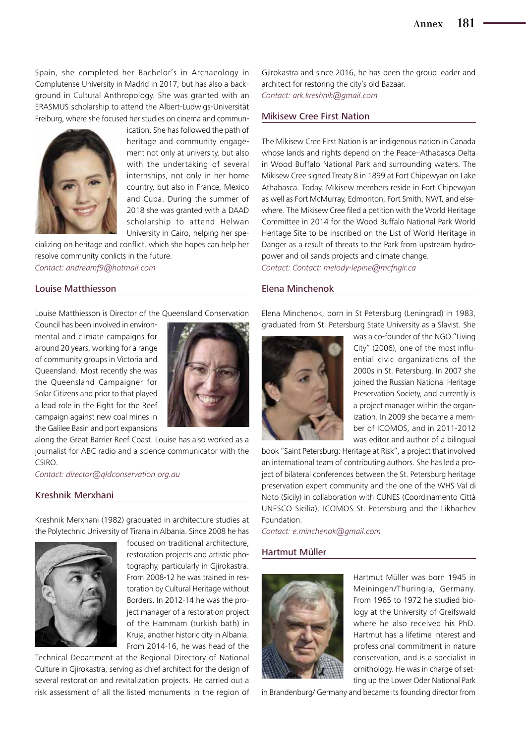Spain, she completed her Bachelor's in Archaeology in Complutense University in Madrid in 2017, but has also a background in Cultural Anthropology. She was granted with an ERASMUS scholarship to attend the Albert-Ludwigs-Universität Freiburg, where she focused her studies on cinema and commun-



ication. She has followed the path of heritage and community engagement not only at university, but also with the undertaking of several internships, not only in her home country, but also in France, Mexico and Cuba. During the summer of 2018 she was granted with a DAAD scholarship to attend Helwan University in Cairo, helping her spe-

cializing on heritage and conflict, which she hopes can help her resolve community conlicts in the future. *Contact: andreamf9@hotmail.com*

#### Louise Matthiesson

Louise Matthiesson is Director of the Queensland Conservation

Council has been involved in environmental and climate campaigns for around 20 years, working for a range of community groups in Victoria and Queensland. Most recently she was the Queensland Campaigner for Solar Citizens and prior to that played a lead role in the Fight for the Reef campaign against new coal mines in the Galilee Basin and port expansions



along the Great Barrier Reef Coast. Louise has also worked as a journalist for ABC radio and a science communicator with the CSIRO.

*Contact: director@qldconservation.org.au*

#### Kreshnik Merxhani

Kreshnik Merxhani (1982) graduated in architecture studies at the Polytechnic University of Tirana in Albania. Since 2008 he has



focused on traditional architecture, restoration projects and artistic photography, particularly in Gjirokastra. From 2008-12 he was trained in restoration by Cultural Heritage without Borders. In 2012-14 he was the project manager of a restoration project of the Hammam (turkish bath) in Kruja, another historic city in Albania. From 2014-16, he was head of the

Technical Department at the Regional Directory of National Culture in Gjirokastra, serving as chief architect for the design of several restoration and revitalization projects. He carried out a risk assessment of all the listed monuments in the region of

Gjirokastra and since 2016, he has been the group leader and architect for restoring the city's old Bazaar. *Contact: ark.kreshnik@gmail.com*

#### Mikisew Cree First Nation

The Mikisew Cree First Nation is an indigenous nation in Canada whose lands and rights depend on the Peace–Athabasca Delta in Wood Buffalo National Park and surrounding waters. The Mikisew Cree signed Treaty 8 in 1899 at Fort Chipewyan on Lake Athabasca. Today, Mikisew members reside in Fort Chipewyan as well as Fort McMurray, Edmonton, Fort Smith, NWT, and elsewhere. The Mikisew Cree filed a petition with the World Heritage Committee in 2014 for the Wood Buffalo National Park World Heritage Site to be inscribed on the List of World Heritage in Danger as a result of threats to the Park from upstream hydropower and oil sands projects and climate change. *Contact: Contact: melody-lepine@mcfngir.ca*

#### Elena Minchenok

Elena Minchenok, born in St Petersburg (Leningrad) in 1983, graduated from St. Petersburg State University as a Slavist. She



was a co-founder of the NGO "Living City" (2006), one of the most influential civic organizations of the 2000s in St. Petersburg. In 2007 she joined the Russian National Heritage Preservation Society, and currently is a project manager within the organization. In 2009 she became a member of ICOMOS, and in 2011-2012 was editor and author of a bilingual

book "Saint Petersburg: Heritage at Risk", a project that involved an international team of contributing authors. She has led a project of bilateral conferences between the St. Petersburg heritage preservation expert community and the one of the WHS Val di Noto (Sicily) in collaboration with CUNES (Coordinamento Città UNESCO Sicilia), ICOMOS St. Petersburg and the Likhachev Foundation.

*Contact: e.minchenok@gmail.com*

#### Hartmut Müller



Hartmut Müller was born 1945 in Meiningen/Thuringia, Germany. From 1965 to 1972 he studied biology at the University of Greifswald where he also received his PhD. Hartmut has a lifetime interest and professional commitment in nature conservation, and is a specialist in ornithology. He was in charge of setting up the Lower Oder National Park

in Brandenburg/ Germany and became its founding director from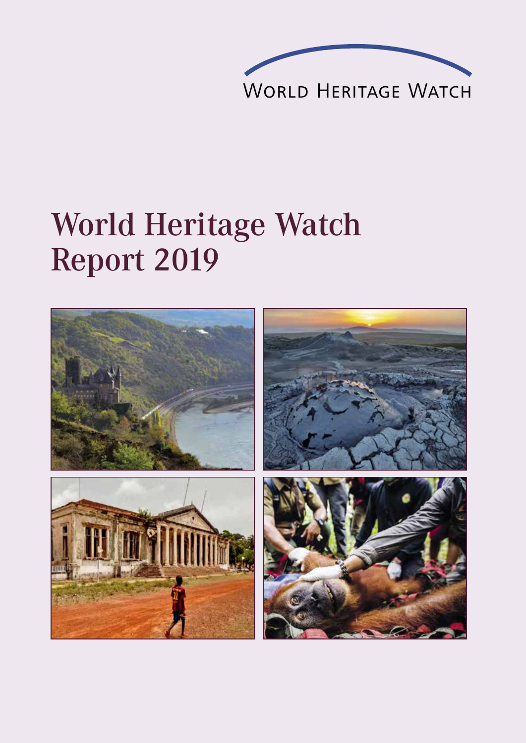

# World Heritage Watch Report 2019